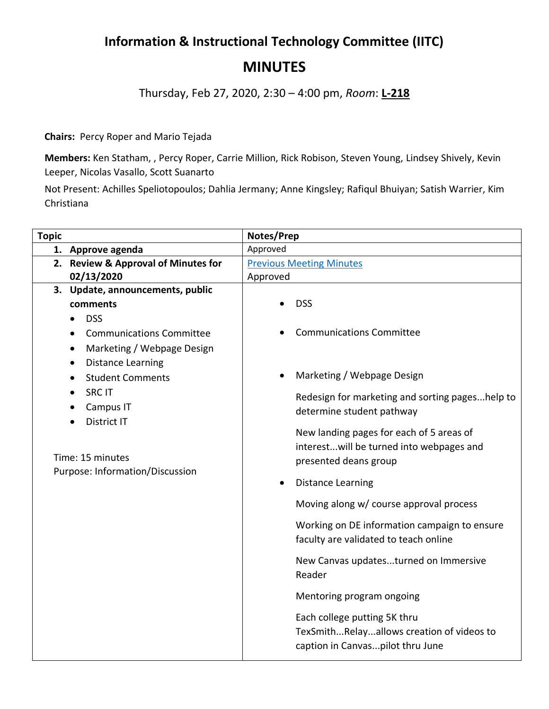## **Information & Instructional Technology Committee (IITC) MINUTES**

Thursday, Feb 27, 2020, 2:30 – 4:00 pm, *Room*: **L-218**

**Chairs:** Percy Roper and Mario Tejada

**Members:** Ken Statham, , Percy Roper, Carrie Million, Rick Robison, Steven Young, Lindsey Shively, Kevin Leeper, Nicolas Vasallo, Scott Suanarto

Not Present: Achilles Speliotopoulos; Dahlia Jermany; Anne Kingsley; Rafiqul Bhuiyan; Satish Warrier, Kim Christiana

| <b>Topic</b> |                                                                                                                                                 | Notes/Prep                      |                                                                              |
|--------------|-------------------------------------------------------------------------------------------------------------------------------------------------|---------------------------------|------------------------------------------------------------------------------|
|              | 1. Approve agenda                                                                                                                               | Approved                        |                                                                              |
|              | 2. Review & Approval of Minutes for                                                                                                             | <b>Previous Meeting Minutes</b> |                                                                              |
|              | 02/13/2020                                                                                                                                      | Approved                        |                                                                              |
|              | 3. Update, announcements, public                                                                                                                |                                 |                                                                              |
|              | comments                                                                                                                                        |                                 | <b>DSS</b>                                                                   |
|              | <b>DSS</b>                                                                                                                                      |                                 |                                                                              |
|              | <b>Communications Committee</b><br>$\bullet$                                                                                                    |                                 | <b>Communications Committee</b>                                              |
|              | Marketing / Webpage Design<br>$\bullet$                                                                                                         |                                 |                                                                              |
|              | <b>Distance Learning</b>                                                                                                                        |                                 |                                                                              |
|              | <b>Student Comments</b><br>$\bullet$<br><b>SRC IT</b><br>Campus IT<br><b>District IT</b><br>Time: 15 minutes<br>Purpose: Information/Discussion |                                 | Marketing / Webpage Design                                                   |
|              |                                                                                                                                                 |                                 | Redesign for marketing and sorting pageshelp to<br>determine student pathway |
|              |                                                                                                                                                 |                                 |                                                                              |
|              |                                                                                                                                                 |                                 |                                                                              |
|              |                                                                                                                                                 |                                 | New landing pages for each of 5 areas of                                     |
|              |                                                                                                                                                 |                                 | interestwill be turned into webpages and                                     |
|              |                                                                                                                                                 |                                 | presented deans group                                                        |
|              |                                                                                                                                                 |                                 | <b>Distance Learning</b>                                                     |
|              |                                                                                                                                                 |                                 | Moving along w/ course approval process                                      |
|              |                                                                                                                                                 |                                 | Working on DE information campaign to ensure                                 |
|              |                                                                                                                                                 |                                 | faculty are validated to teach online                                        |
|              |                                                                                                                                                 |                                 | New Canvas updatesturned on Immersive                                        |
|              |                                                                                                                                                 |                                 | Reader                                                                       |
|              |                                                                                                                                                 |                                 | Mentoring program ongoing                                                    |
|              |                                                                                                                                                 |                                 | Each college putting 5K thru                                                 |
|              |                                                                                                                                                 |                                 | TexSmithRelayallows creation of videos to                                    |
|              |                                                                                                                                                 |                                 | caption in Canvaspilot thru June                                             |
|              |                                                                                                                                                 |                                 |                                                                              |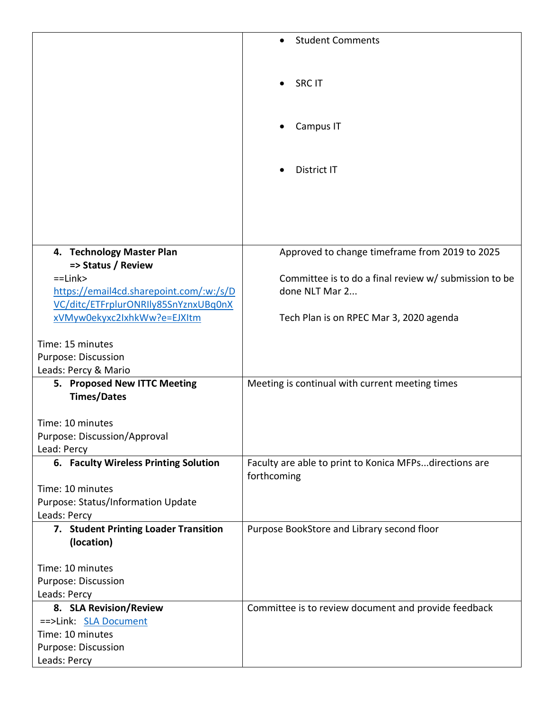|                                         | <b>Student Comments</b>                                                 |
|-----------------------------------------|-------------------------------------------------------------------------|
|                                         |                                                                         |
|                                         |                                                                         |
|                                         | <b>SRC IT</b>                                                           |
|                                         |                                                                         |
|                                         |                                                                         |
|                                         | Campus IT                                                               |
|                                         |                                                                         |
|                                         |                                                                         |
|                                         | District IT                                                             |
|                                         |                                                                         |
|                                         |                                                                         |
|                                         |                                                                         |
|                                         |                                                                         |
|                                         |                                                                         |
| 4. Technology Master Plan               | Approved to change timeframe from 2019 to 2025                          |
| => Status / Review<br>$=$ Link $>$      |                                                                         |
| https://email4cd.sharepoint.com/:w:/s/D | Committee is to do a final review w/ submission to be<br>done NLT Mar 2 |
| VC/ditc/ETFrplurONRIly85SnYznxUBq0nX    |                                                                         |
| xVMyw0ekyxc2IxhkWw?e=EJXItm             | Tech Plan is on RPEC Mar 3, 2020 agenda                                 |
|                                         |                                                                         |
| Time: 15 minutes                        |                                                                         |
| Purpose: Discussion                     |                                                                         |
| Leads: Percy & Mario                    |                                                                         |
| 5. Proposed New ITTC Meeting            | Meeting is continual with current meeting times                         |
| <b>Times/Dates</b>                      |                                                                         |
| Time: 10 minutes                        |                                                                         |
| Purpose: Discussion/Approval            |                                                                         |
| Lead: Percy                             |                                                                         |
| 6. Faculty Wireless Printing Solution   | Faculty are able to print to Konica MFPsdirections are                  |
|                                         | forthcoming                                                             |
| Time: 10 minutes                        |                                                                         |
| Purpose: Status/Information Update      |                                                                         |
| Leads: Percy                            |                                                                         |
| 7. Student Printing Loader Transition   | Purpose BookStore and Library second floor                              |
| (location)                              |                                                                         |
| Time: 10 minutes                        |                                                                         |
| Purpose: Discussion                     |                                                                         |
| Leads: Percy                            |                                                                         |
| 8. SLA Revision/Review                  | Committee is to review document and provide feedback                    |
| ==>Link: SLA Document                   |                                                                         |
| Time: 10 minutes                        |                                                                         |
| Purpose: Discussion                     |                                                                         |
| Leads: Percy                            |                                                                         |